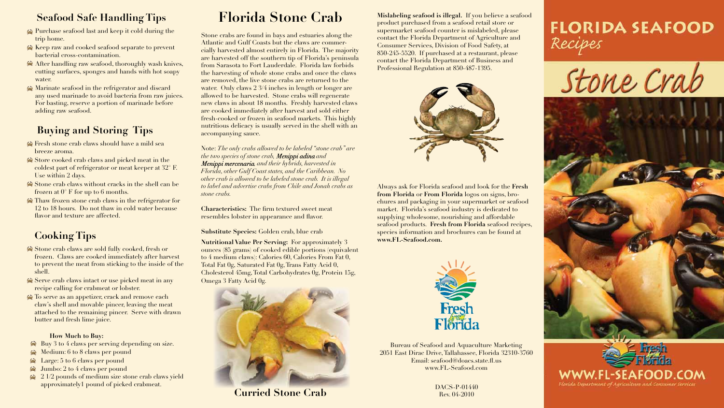**Mislabeling seafood is illegal.** If you believe a seafood product purchased from a seafood retail store or supermarket seafood counter is mislabeled, please contact the Florida Department of Agriculture and Consumer Services, Division of Food Safety, at 850-245-5520. If purchased at a restaurant, please contact the Florida Department of Business and Professional Regulation at 850-487-1395.



Always ask for Florida seafood and look for the **Fresh from Florida** or **From Florida** logos on signs, brochures and packaging in your supermarket or seafood market. Florida's seafood industry is dedicated to supplying wholesome, nourishing and affordable seafood products. **Fresh from Florida** seafood recipes, species information and brochures can be found at **www.FL-Seafood.com.**



Bureau of Seafood and Aquaculture Marketing 2051 East Dirac Drive, Tallahassee, Florida 32310-3760 Email: seafood@doacs.state.fl.us www.FL-Seafood.com

- **Solutions** Fresh stone crab claws should have a mild sea breeze aroma.
- Store cooked crab claws and picked meat in the coldest part of refrigerator or meat keeper at 32° F. Use within 2 days.
- Stone crab claws without cracks in the shell can be frozen at  $0^{\circ}$  F for up to 6 months.
- Thaw frozen stone crab claws in the refrigerator for 12 to 18 hours. Do not thaw in cold water because flavor and texture are affected.

#### **Seafood Safe Handling Tips**

- Purchase seafood last and keep it cold during the trip home.
- Keep raw and cooked seafood separate to prevent bacterial cross-contamination.
- After handling raw seafood, thoroughly wash knives, cutting surfaces, sponges and hands with hot soapy water.
- Marinate seafood in the refrigerator and discard any used marinade to avoid bacteria from raw juices. For basting, reserve a portion of marinade before adding raw seafood.

- $\triangle$  Buy 3 to 4 claws per serving depending on size.
- $\triangle$  Medium: 6 to 8 claws per pound
- $\triangle$  Large: 5 to 6 claws per pound
- $\triangle$  Jumbo: 2 to 4 claws per pound
- $\approx 21/2$  pounds of medium size stone crab claws yield approximately1 pound of picked crabmeat.

### **Buying and Storing Tips**

## **Cooking Tips**

- Stone crab claws are sold fully cooked, fresh or frozen. Claws are cooked immediately after harvest to prevent the meat from sticking to the inside of the shell.
- Serve crab claws intact or use picked meat in any recipe calling for crabmeat or lobster.
- $\triangle$  To serve as an appetizer, crack and remove each claw's shell and movable pincer, leaving the meat attached to the remaining pincer. Serve with drawn butter and fresh lime juice.

#### **How Much to Buy:**

**Nutritional Value Per Serving:** For approximately 3 ounces (85 grams) of cooked edible portions (equivalent to 4 medium claws): Calories 60, Calories From Fat 0, Total Fat 0g, Saturated Fat 0g, Trans Fatty Acid 0, Cholesterol 45mg, Total Carbohydrates 0g, Protein 15g, Omega 3 Fatty Acid 0g.



**Curried Stone Crab** DACS-P-01440

Rev. 04-2010





Stone Crab





# **Florida Stone Crab**

Stone crabs are found in bays and estuaries along the Atlantic and Gulf Coasts but the claws are commercially harvested almost entirely in Florida. The majority are harvested off the southern tip of Florida's peninsula from Sarasota to Fort Lauderdale. Florida law forbids the harvesting of whole stone crabs and once the claws are removed, the live stone crabs are returned to the water. Only claws 2 3/4 inches in length or longer are allowed to be harvested. Stone crabs will regenerate new claws in about 18 months. Freshly harvested claws are cooked immediately after harvest and sold either fresh-cooked or frozen in seafood markets. This highly nutritious delicacy is usually served in the shell with an accompanying sauce.

Note: *The only crabs allowed to be labeled "stone crab" are the two species of stone crab, Menippi adina and Menippi mercenaria, and their hybrids, harvested in Florida, other Gulf Coast states, and the Caribbean. No other crab is allowed to be labeled stone crab. It is illegal to label and advertise crabs from Chile and Jonah crabs as stone crabs.*

**Characteristics:** The firm textured sweet meat resembles lobster in appearance and flavor.

#### **Substitute Species:** Golden crab, blue crab